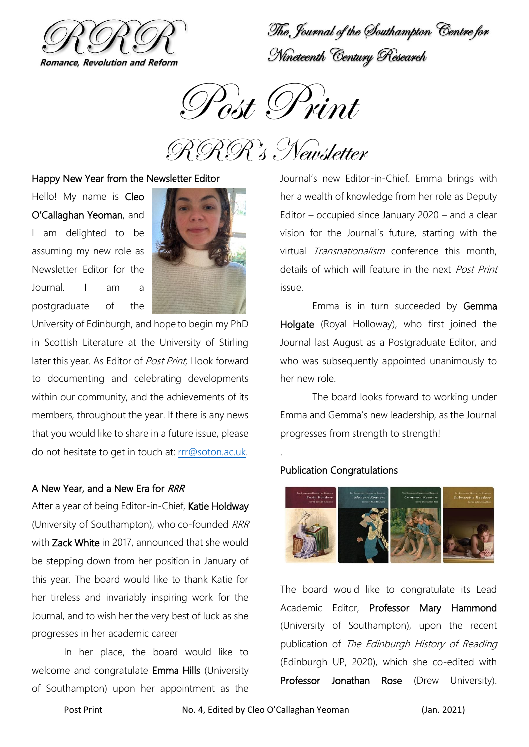

The Journal of the Southampton Centre for Nineteenth Century Research

Post Print

RRR's Newsletter

#### Happy New Year from the Newsletter Editor

Hello! My name is Cleo O'Callaghan Yeoman, and I am delighted to be assuming my new role as Newsletter Editor for the Journal. I am a postgraduate of the



University of Edinburgh, and hope to begin my PhD in Scottish Literature at the University of Stirling later this year. As Editor of Post Print, I look forward to documenting and celebrating developments within our community, and the achievements of its members, throughout the year. If there is any news that you would like to share in a future issue, please do not hesitate to get in touch at: [rrr@soton.ac.uk.](mailto:rrr@soton.ac.uk)

#### A New Year, and a New Era for RRR

After a year of being Editor-in-Chief, Katie Holdway (University of Southampton), who co-founded RRR with Zack White in 2017, announced that she would be stepping down from her position in January of this year. The board would like to thank Katie for her tireless and invariably inspiring work for the Journal, and to wish her the very best of luck as she progresses in her academic career

In her place, the board would like to welcome and congratulate Emma Hills (University of Southampton) upon her appointment as the

Journal's new Editor-in-Chief. Emma brings with her a wealth of knowledge from her role as Deputy Editor – occupied since January 2020 – and a clear vision for the Journal's future, starting with the virtual Transnationalism conference this month, details of which will feature in the next Post Print issue.

Emma is in turn succeeded by Gemma Holgate (Royal Holloway), who first joined the Journal last August as a Postgraduate Editor, and who was subsequently appointed unanimously to her new role.

The board looks forward to working under Emma and Gemma's new leadership, as the Journal progresses from strength to strength!

#### Publication Congratulations

.



The board would like to congratulate its Lead Academic Editor, Professor Mary Hammond (University of Southampton), upon the recent publication of The Edinburgh History of Reading (Edinburgh UP, 2020), which she co-edited with Professor Jonathan Rose (Drew University).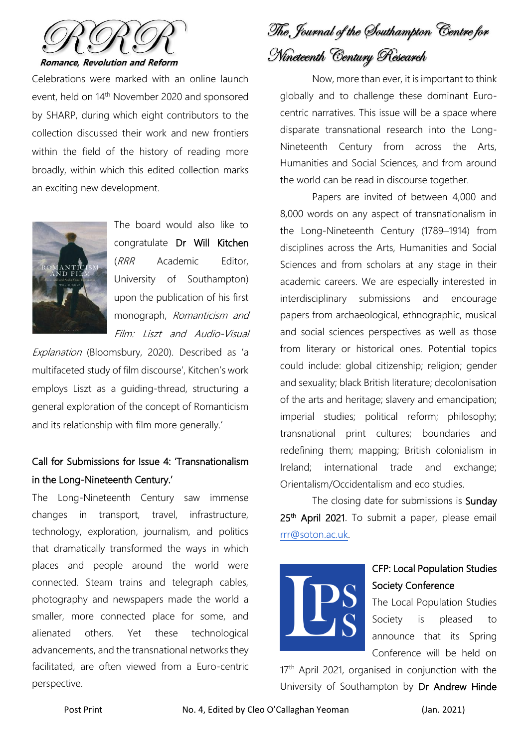

Celebrations were marked with an online launch event, held on 14<sup>th</sup> November 2020 and sponsored by SHARP, during which eight contributors to the collection discussed their work and new frontiers within the field of the history of reading more broadly, within which this edited collection marks an exciting new development.



The board would also like to congratulate Dr Will Kitchen (RRR Academic Editor, University of Southampton) upon the publication of his first monograph, Romanticism and Film: Liszt and Audio-Visual

Explanation (Bloomsbury, 2020). Described as 'a multifaceted study of film discourse', Kitchen's work employs Liszt as a guiding-thread, structuring a general exploration of the concept of Romanticism and its relationship with film more generally.'

# Call for Submissions for Issue 4: 'Transnationalism in the Long-Nineteenth Century.'

The Long-Nineteenth Century saw immense changes in transport, travel, infrastructure, technology, exploration, journalism, and politics that dramatically transformed the ways in which places and people around the world were connected. Steam trains and telegraph cables, photography and newspapers made the world a smaller, more connected place for some, and alienated others. Yet these technological advancements, and the transnational networks they facilitated, are often viewed from a Euro-centric perspective.

The Journal of the Southampton Centre for Nineteenth Century Research

Now, more than ever, it is important to think globally and to challenge these dominant Eurocentric narratives. This issue will be a space where disparate transnational research into the Long-Nineteenth Century from across the Arts, Humanities and Social Sciences, and from around the world can be read in discourse together.

Papers are invited of between 4,000 and 8,000 words on any aspect of transnationalism in the Long-Nineteenth Century (1789–1914) from disciplines across the Arts, Humanities and Social Sciences and from scholars at any stage in their academic careers. We are especially interested in interdisciplinary submissions and encourage papers from archaeological, ethnographic, musical and social sciences perspectives as well as those from literary or historical ones. Potential topics could include: global citizenship; religion; gender and sexuality; black British literature; decolonisation of the arts and heritage; slavery and emancipation; imperial studies; political reform; philosophy; transnational print cultures; boundaries and redefining them; mapping; British colonialism in Ireland; international trade and exchange; Orientalism/Occidentalism and eco studies.

The closing date for submissions is Sunday 25<sup>th</sup> April 2021. To submit a paper, please email [rrr@soton.ac.uk.](mailto:rrr@soton.ac.uk)



# CFP: Local Population Studies Society Conference

The Local Population Studies Society is pleased to announce that its Spring Conference will be held on

17<sup>th</sup> April 2021, organised in conjunction with the University of Southampton by Dr Andrew Hinde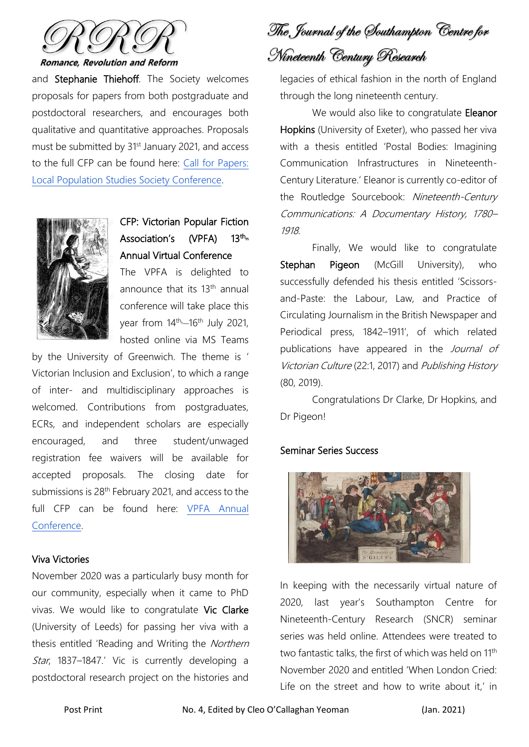

**Romance, Revolution and Reform** 

and Stephanie Thiehoff. The Society welcomes proposals for papers from both postgraduate and postdoctoral researchers, and encourages both qualitative and quantitative approaches. Proposals must be submitted by 31<sup>st</sup> January 2021, and access to the full CFP can be found here: [Call for Papers:](https://population-europe.eu/call-papers/call-papers-local-population-studies-society-conference)  [Local Population Studies Society Conference.](https://population-europe.eu/call-papers/call-papers-local-population-studies-society-conference)



CFP: Victorian Popular Fiction Association's (VPFA)  $13^{th_m}$ Annual Virtual Conference

The VPFA is delighted to announce that its 13<sup>th</sup> annual conference will take place this year from 14<sup>th,</sup> 16<sup>th</sup> July 2021, hosted online via MS Teams

by the University of Greenwich. The theme is ' Victorian Inclusion and Exclusion', to which a range of inter- and multidisciplinary approaches is welcomed. Contributions from postgraduates, ECRs, and independent scholars are especially encouraged, and three student/unwaged registration fee waivers will be available for accepted proposals. The closing date for submissions is 28<sup>th</sup> February 2021, and access to the full CFP can be found here: [VPFA Annual](https://victorianpopularfiction.org/vpfa-annual-conference/)  [Conference.](https://victorianpopularfiction.org/vpfa-annual-conference/)

### Viva Victories

November 2020 was a particularly busy month for our community, especially when it came to PhD vivas. We would like to congratulate Vic Clarke (University of Leeds) for passing her viva with a thesis entitled 'Reading and Writing the Northern Star, 1837-1847.' Vic is currently developing a postdoctoral research project on the histories and

The Journal of the Southampton Centre for Nineteenth Century Research

legacies of ethical fashion in the north of England through the long nineteenth century.

We would also like to congratulate Eleanor Hopkins (University of Exeter), who passed her viva with a thesis entitled 'Postal Bodies: Imagining Communication Infrastructures in Nineteenth-Century Literature.' Eleanor is currently co-editor of the Routledge Sourcebook: Nineteenth-Century Communications: A Documentary History, 1780– 1918.

Finally, We would like to congratulate Stephan Pigeon (McGill University), who successfully defended his thesis entitled 'Scissorsand-Paste: the Labour, Law, and Practice of Circulating Journalism in the British Newspaper and Periodical press, 1842–1911', of which related publications have appeared in the Journal of Victorian Culture (22:1, 2017) and Publishing History (80, 2019).

Congratulations Dr Clarke, Dr Hopkins, and Dr Pigeon!

#### Seminar Series Success



In keeping with the necessarily virtual nature of 2020, last year's Southampton Centre for Nineteenth-Century Research (SNCR) seminar series was held online. Attendees were treated to two fantastic talks, the first of which was held on 11<sup>th</sup> November 2020 and entitled 'When London Cried: Life on the street and how to write about it,' in